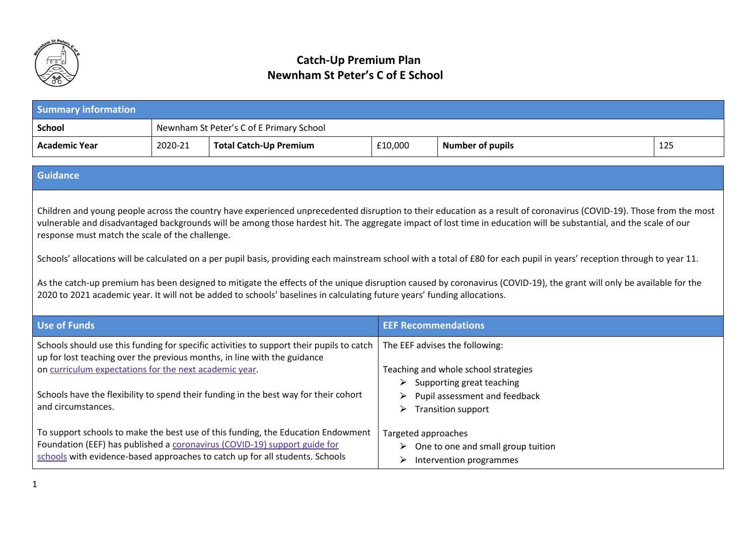

## **Catch-Up Premium Plan Newnham St Peter's C of E School**

| <b>Summary information</b> |         |                                          |         |                         |     |
|----------------------------|---------|------------------------------------------|---------|-------------------------|-----|
| <b>School</b>              |         | Newnham St Peter's C of E Primary School |         |                         |     |
| <b>Academic Year</b>       | 2020-21 | <b>Total Catch-Up Premium</b>            | £10,000 | <b>Number of pupils</b> | 125 |
|                            |         |                                          |         |                         |     |

## **Guidance**

Children and young people across the country have experienced unprecedented disruption to their education as a result of coronavirus (COVID-19). Those from the most vulnerable and disadvantaged backgrounds will be among those hardest hit. The aggregate impact of lost time in education will be substantial, and the scale of our response must match the scale of the challenge.

Schools' allocations will be calculated on a per pupil basis, providing each mainstream school with a total of £80 for each pupil in years' reception through to year 11.

As the catch-up premium has been designed to mitigate the effects of the unique disruption caused by coronavirus (COVID-19), the grant will only be available for the 2020 to 2021 academic year. It will not be added to schools' baselines in calculating future years' funding allocations.

| Use of Funds                                                                                                                                                                                                                                                                                                                                 | <b>EEF Recommendations</b>                                                                                                                                                            |
|----------------------------------------------------------------------------------------------------------------------------------------------------------------------------------------------------------------------------------------------------------------------------------------------------------------------------------------------|---------------------------------------------------------------------------------------------------------------------------------------------------------------------------------------|
| Schools should use this funding for specific activities to support their pupils to catch<br>up for lost teaching over the previous months, in line with the guidance<br>on curriculum expectations for the next academic year.<br>Schools have the flexibility to spend their funding in the best way for their cohort<br>and circumstances. | The EEF advises the following:<br>Teaching and whole school strategies<br>Supporting great teaching<br>Pupil assessment and feedback<br><b>Transition support</b><br>$\triangleright$ |
| To support schools to make the best use of this funding, the Education Endowment<br>Foundation (EEF) has published a coronavirus (COVID-19) support guide for<br>schools with evidence-based approaches to catch up for all students. Schools                                                                                                | Targeted approaches<br>One to one and small group tuition<br>➤<br>Intervention programmes<br>$\triangleright$                                                                         |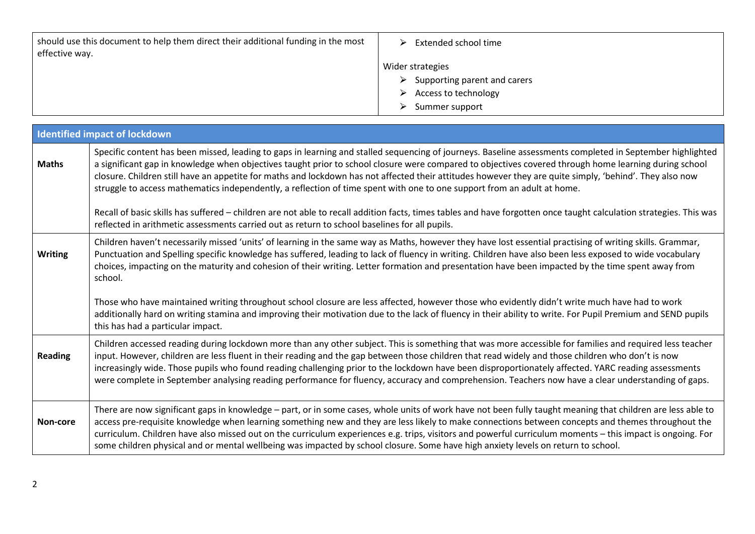| should use this document to help them direct their additional funding in the most<br>effective way. | Extended school time<br>$\triangleright$      |
|-----------------------------------------------------------------------------------------------------|-----------------------------------------------|
|                                                                                                     | Wider strategies                              |
|                                                                                                     | $\triangleright$ Supporting parent and carers |
|                                                                                                     | $\triangleright$ Access to technology         |
|                                                                                                     | Summer support<br>$\geq$                      |

|                | <b>Identified impact of lockdown</b>                                                                                                                                                                                                                                                                                                                                                                                                                                                                                                                                                                                                                                                                                                                                                                                                                                            |
|----------------|---------------------------------------------------------------------------------------------------------------------------------------------------------------------------------------------------------------------------------------------------------------------------------------------------------------------------------------------------------------------------------------------------------------------------------------------------------------------------------------------------------------------------------------------------------------------------------------------------------------------------------------------------------------------------------------------------------------------------------------------------------------------------------------------------------------------------------------------------------------------------------|
| <b>Maths</b>   | Specific content has been missed, leading to gaps in learning and stalled sequencing of journeys. Baseline assessments completed in September highlighted<br>a significant gap in knowledge when objectives taught prior to school closure were compared to objectives covered through home learning during school<br>closure. Children still have an appetite for maths and lockdown has not affected their attitudes however they are quite simply, 'behind'. They also now<br>struggle to access mathematics independently, a reflection of time spent with one to one support from an adult at home.<br>Recall of basic skills has suffered - children are not able to recall addition facts, times tables and have forgotten once taught calculation strategies. This was<br>reflected in arithmetic assessments carried out as return to school baselines for all pupils. |
| <b>Writing</b> | Children haven't necessarily missed 'units' of learning in the same way as Maths, however they have lost essential practising of writing skills. Grammar,<br>Punctuation and Spelling specific knowledge has suffered, leading to lack of fluency in writing. Children have also been less exposed to wide vocabulary<br>choices, impacting on the maturity and cohesion of their writing. Letter formation and presentation have been impacted by the time spent away from<br>school.<br>Those who have maintained writing throughout school closure are less affected, however those who evidently didn't write much have had to work<br>additionally hard on writing stamina and improving their motivation due to the lack of fluency in their ability to write. For Pupil Premium and SEND pupils<br>this has had a particular impact.                                     |
| <b>Reading</b> | Children accessed reading during lockdown more than any other subject. This is something that was more accessible for families and required less teacher<br>input. However, children are less fluent in their reading and the gap between those children that read widely and those children who don't is now<br>increasingly wide. Those pupils who found reading challenging prior to the lockdown have been disproportionately affected. YARC reading assessments<br>were complete in September analysing reading performance for fluency, accuracy and comprehension. Teachers now have a clear understanding of gaps.                                                                                                                                                                                                                                                      |
| Non-core       | There are now significant gaps in knowledge – part, or in some cases, whole units of work have not been fully taught meaning that children are less able to<br>access pre-requisite knowledge when learning something new and they are less likely to make connections between concepts and themes throughout the<br>curriculum. Children have also missed out on the curriculum experiences e.g. trips, visitors and powerful curriculum moments - this impact is ongoing. For<br>some children physical and or mental wellbeing was impacted by school closure. Some have high anxiety levels on return to school.                                                                                                                                                                                                                                                            |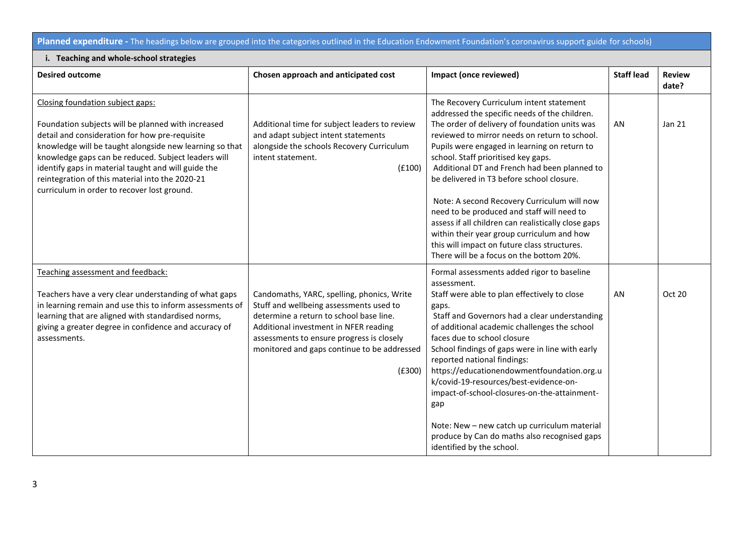## **Planned expenditure -** The headings below are grouped into the categories outlined in the Education Endowment Foundation's coronavirus support guide for schools)

## **i. Teaching and whole-school strategies**

|                                                                                                                                                                                                                                                                                 | Impact (once reviewed)                                                                                                                                                                                                                                                                                                                                                                                                                                                                                                              | <b>Staff lead</b>                                                         | <b>Review</b><br>date? |
|---------------------------------------------------------------------------------------------------------------------------------------------------------------------------------------------------------------------------------------------------------------------------------|-------------------------------------------------------------------------------------------------------------------------------------------------------------------------------------------------------------------------------------------------------------------------------------------------------------------------------------------------------------------------------------------------------------------------------------------------------------------------------------------------------------------------------------|---------------------------------------------------------------------------|------------------------|
| Additional time for subject leaders to review<br>and adapt subject intent statements<br>alongside the schools Recovery Curriculum<br>intent statement.<br>(E100)                                                                                                                | The Recovery Curriculum intent statement<br>addressed the specific needs of the children.<br>The order of delivery of foundation units was<br>reviewed to mirror needs on return to school.<br>Pupils were engaged in learning on return to<br>school. Staff prioritised key gaps.<br>Additional DT and French had been planned to<br>be delivered in T3 before school closure.                                                                                                                                                     | AN                                                                        | Jan 21                 |
|                                                                                                                                                                                                                                                                                 | Note: A second Recovery Curriculum will now<br>need to be produced and staff will need to<br>assess if all children can realistically close gaps<br>within their year group curriculum and how<br>this will impact on future class structures.<br>There will be a focus on the bottom 20%.                                                                                                                                                                                                                                          |                                                                           |                        |
| Candomaths, YARC, spelling, phonics, Write<br>Stuff and wellbeing assessments used to<br>determine a return to school base line.<br>Additional investment in NFER reading<br>assessments to ensure progress is closely<br>monitored and gaps continue to be addressed<br>(E300) | Formal assessments added rigor to baseline<br>assessment.<br>Staff were able to plan effectively to close<br>gaps.<br>Staff and Governors had a clear understanding<br>of additional academic challenges the school<br>faces due to school closure<br>School findings of gaps were in line with early<br>reported national findings:<br>https://educationendowmentfoundation.org.u<br>k/covid-19-resources/best-evidence-on-<br>impact-of-school-closures-on-the-attainment-<br>gap<br>Note: New - new catch up curriculum material | AN                                                                        | Oct 20                 |
|                                                                                                                                                                                                                                                                                 |                                                                                                                                                                                                                                                                                                                                                                                                                                                                                                                                     | produce by Can do maths also recognised gaps<br>identified by the school. |                        |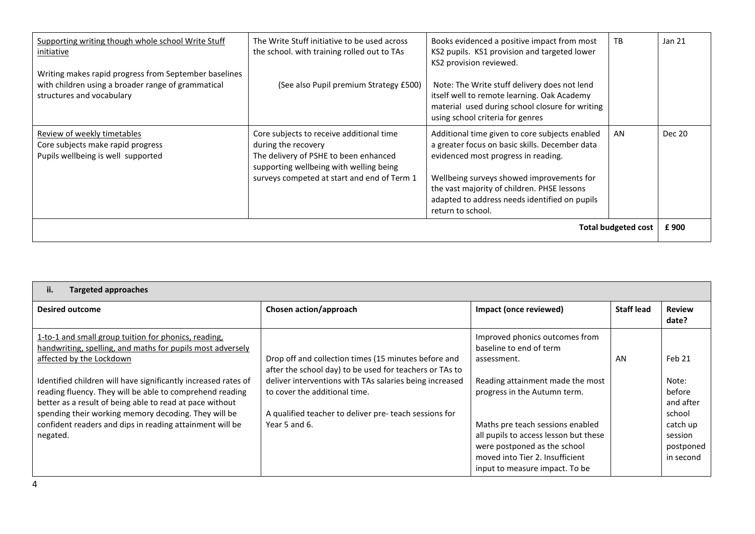| Supporting writing though whole school Write Stuff<br>initiative<br>Writing makes rapid progress from September baselines | The Write Stuff initiative to be used across<br>the school. with training rolled out to TAs                                                                                                        | Books evidenced a positive impact from most<br>KS2 pupils. KS1 provision and targeted lower<br>KS2 provision reviewed.                                                                                                                                                                                    | TB                         | Jan 21 |
|---------------------------------------------------------------------------------------------------------------------------|----------------------------------------------------------------------------------------------------------------------------------------------------------------------------------------------------|-----------------------------------------------------------------------------------------------------------------------------------------------------------------------------------------------------------------------------------------------------------------------------------------------------------|----------------------------|--------|
| with children using a broader range of grammatical<br>structures and vocabulary                                           | (See also Pupil premium Strategy £500)                                                                                                                                                             | Note: The Write stuff delivery does not lend<br>itself well to remote learning. Oak Academy<br>material used during school closure for writing<br>using school criteria for genres                                                                                                                        |                            |        |
| Review of weekly timetables<br>Core subjects make rapid progress<br>Pupils wellbeing is well supported                    | Core subjects to receive additional time<br>during the recovery<br>The delivery of PSHE to been enhanced<br>supporting wellbeing with welling being<br>surveys competed at start and end of Term 1 | Additional time given to core subjects enabled<br>a greater focus on basic skills. December data<br>evidenced most progress in reading.<br>Wellbeing surveys showed improvements for<br>the vast majority of children. PHSE lessons<br>adapted to address needs identified on pupils<br>return to school. | AN                         | Dec 20 |
|                                                                                                                           |                                                                                                                                                                                                    |                                                                                                                                                                                                                                                                                                           | <b>Total budgeted cost</b> | £900   |

| <b>Targeted approaches</b><br>41. Z                                                                                                                                                                                                            |                                                                                                                                                                                                               |                                                                                                                                                                                |                   |                                               |
|------------------------------------------------------------------------------------------------------------------------------------------------------------------------------------------------------------------------------------------------|---------------------------------------------------------------------------------------------------------------------------------------------------------------------------------------------------------------|--------------------------------------------------------------------------------------------------------------------------------------------------------------------------------|-------------------|-----------------------------------------------|
| <b>Desired outcome</b>                                                                                                                                                                                                                         | Chosen action/approach                                                                                                                                                                                        | Impact (once reviewed)                                                                                                                                                         | <b>Staff lead</b> | <b>Review</b><br>date?                        |
| 1-to-1 and small group tuition for phonics, reading,<br>handwriting, spelling, and maths for pupils most adversely<br>affected by the Lockdown                                                                                                 | Drop off and collection times (15 minutes before and                                                                                                                                                          | Improved phonics outcomes from<br>baseline to end of term<br>assessment.                                                                                                       | AN                | Feb 21                                        |
| Identified children will have significantly increased rates of<br>reading fluency. They will be able to comprehend reading<br>better as a result of being able to read at pace without<br>spending their working memory decoding. They will be | after the school day) to be used for teachers or TAs to<br>deliver interventions with TAs salaries being increased<br>to cover the additional time.<br>A qualified teacher to deliver pre- teach sessions for | Reading attainment made the most<br>progress in the Autumn term.                                                                                                               |                   | Note:<br>before<br>and after<br>school        |
| confident readers and dips in reading attainment will be<br>negated.                                                                                                                                                                           | Year 5 and 6.                                                                                                                                                                                                 | Maths pre teach sessions enabled<br>all pupils to access lesson but these<br>were postponed as the school<br>moved into Tier 2. Insufficient<br>input to measure impact. To be |                   | catch up<br>session<br>postponed<br>in second |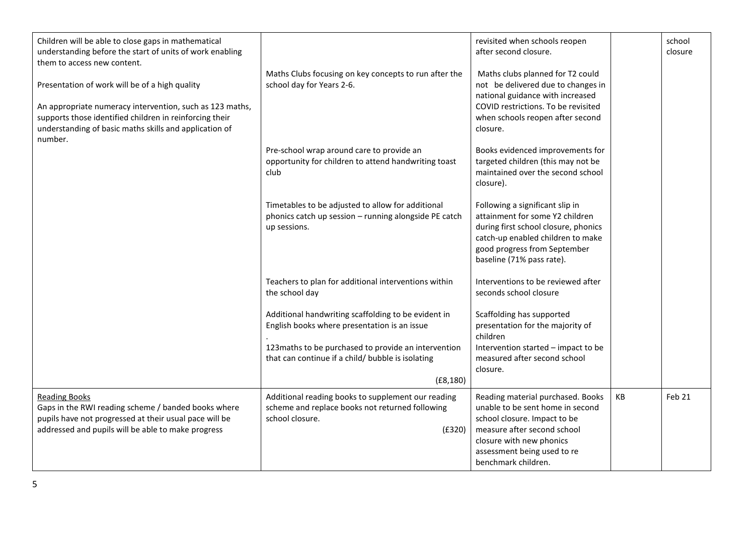| Children will be able to close gaps in mathematical<br>understanding before the start of units of work enabling<br>them to access new content.<br>Presentation of work will be of a high quality | Maths Clubs focusing on key concepts to run after the<br>school day for Years 2-6.                                                                                                                              | revisited when schools reopen<br>after second closure.<br>Maths clubs planned for T2 could<br>not be delivered due to changes in                                                                                       |    | school<br>closure |
|--------------------------------------------------------------------------------------------------------------------------------------------------------------------------------------------------|-----------------------------------------------------------------------------------------------------------------------------------------------------------------------------------------------------------------|------------------------------------------------------------------------------------------------------------------------------------------------------------------------------------------------------------------------|----|-------------------|
| An appropriate numeracy intervention, such as 123 maths,<br>supports those identified children in reinforcing their<br>understanding of basic maths skills and application of<br>number.         |                                                                                                                                                                                                                 | national guidance with increased<br>COVID restrictions. To be revisited<br>when schools reopen after second<br>closure.                                                                                                |    |                   |
|                                                                                                                                                                                                  | Pre-school wrap around care to provide an<br>opportunity for children to attend handwriting toast<br>club                                                                                                       | Books evidenced improvements for<br>targeted children (this may not be<br>maintained over the second school<br>closure).                                                                                               |    |                   |
|                                                                                                                                                                                                  | Timetables to be adjusted to allow for additional<br>phonics catch up session - running alongside PE catch<br>up sessions.                                                                                      | Following a significant slip in<br>attainment for some Y2 children<br>during first school closure, phonics<br>catch-up enabled children to make<br>good progress from September<br>baseline (71% pass rate).           |    |                   |
|                                                                                                                                                                                                  | Teachers to plan for additional interventions within<br>the school day                                                                                                                                          | Interventions to be reviewed after<br>seconds school closure                                                                                                                                                           |    |                   |
|                                                                                                                                                                                                  | Additional handwriting scaffolding to be evident in<br>English books where presentation is an issue<br>123maths to be purchased to provide an intervention<br>that can continue if a child/ bubble is isolating | Scaffolding has supported<br>presentation for the majority of<br>children<br>Intervention started - impact to be<br>measured after second school<br>closure.                                                           |    |                   |
|                                                                                                                                                                                                  | (E8, 180)                                                                                                                                                                                                       |                                                                                                                                                                                                                        |    |                   |
| <b>Reading Books</b><br>Gaps in the RWI reading scheme / banded books where<br>pupils have not progressed at their usual pace will be<br>addressed and pupils will be able to make progress      | Additional reading books to supplement our reading<br>scheme and replace books not returned following<br>school closure.<br>(E320)                                                                              | Reading material purchased. Books<br>unable to be sent home in second<br>school closure. Impact to be<br>measure after second school<br>closure with new phonics<br>assessment being used to re<br>benchmark children. | KB | Feb 21            |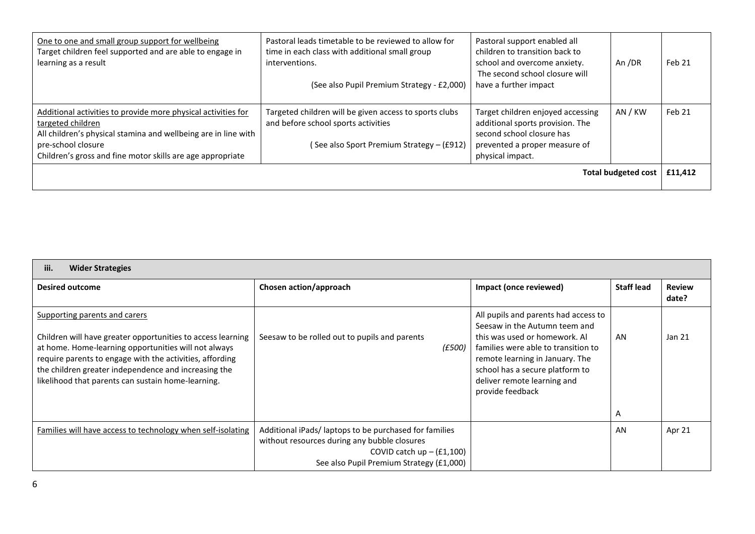| One to one and small group support for wellbeing<br>Target children feel supported and are able to engage in<br>learning as a result                                                                                                     | Pastoral leads timetable to be reviewed to allow for<br>time in each class with additional small group<br>interventions.<br>(See also Pupil Premium Strategy - £2,000) | Pastoral support enabled all<br>children to transition back to<br>school and overcome anxiety.<br>The second school closure will<br>have a further impact | An /DR                     | Feb 21  |
|------------------------------------------------------------------------------------------------------------------------------------------------------------------------------------------------------------------------------------------|------------------------------------------------------------------------------------------------------------------------------------------------------------------------|-----------------------------------------------------------------------------------------------------------------------------------------------------------|----------------------------|---------|
| Additional activities to provide more physical activities for<br>targeted children<br>All children's physical stamina and wellbeing are in line with<br>pre-school closure<br>Children's gross and fine motor skills are age appropriate | Targeted children will be given access to sports clubs<br>and before school sports activities<br>(See also Sport Premium Strategy - (£912)                             | Target children enjoyed accessing<br>additional sports provision. The<br>second school closure has<br>prevented a proper measure of<br>physical impact.   | AN / KW                    | Feb 21  |
|                                                                                                                                                                                                                                          |                                                                                                                                                                        |                                                                                                                                                           | <b>Total budgeted cost</b> | £11,412 |

| <b>Wider Strategies</b><br>iii.                                                                                                                                                                                                                                                                                                |                                                                                                                                      |                                                                                                                                                                                                                                                                        |                   |                        |
|--------------------------------------------------------------------------------------------------------------------------------------------------------------------------------------------------------------------------------------------------------------------------------------------------------------------------------|--------------------------------------------------------------------------------------------------------------------------------------|------------------------------------------------------------------------------------------------------------------------------------------------------------------------------------------------------------------------------------------------------------------------|-------------------|------------------------|
| <b>Desired outcome</b>                                                                                                                                                                                                                                                                                                         | Chosen action/approach                                                                                                               | Impact (once reviewed)                                                                                                                                                                                                                                                 | <b>Staff lead</b> | <b>Review</b><br>date? |
| Supporting parents and carers<br>Children will have greater opportunities to access learning<br>at home. Home-learning opportunities will not always<br>require parents to engage with the activities, affording<br>the children greater independence and increasing the<br>likelihood that parents can sustain home-learning. | Seesaw to be rolled out to pupils and parents<br>(E500)                                                                              | All pupils and parents had access to<br>Seesaw in the Autumn teem and<br>this was used or homework. Al<br>families were able to transition to<br>remote learning in January. The<br>school has a secure platform to<br>deliver remote learning and<br>provide feedback | AN<br>A           | Jan 21                 |
| Families will have access to technology when self-isolating                                                                                                                                                                                                                                                                    | Additional iPads/laptops to be purchased for families<br>without resources during any bubble closures<br>COVID catch $up - (f1,100)$ |                                                                                                                                                                                                                                                                        | AN                | Apr 21                 |
|                                                                                                                                                                                                                                                                                                                                | See also Pupil Premium Strategy (£1,000)                                                                                             |                                                                                                                                                                                                                                                                        |                   |                        |